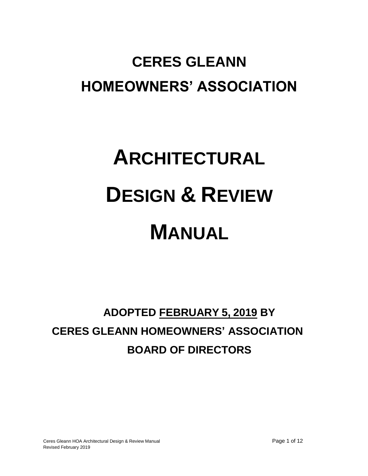# **CERES GLEANN HOMEOWNERS' ASSOCIATION**

# **ARCHITECTURAL DESIGN & REVIEW MANUAL**

# **ADOPTED FEBRUARY 5, 2019 BY CERES GLEANN HOMEOWNERS' ASSOCIATION BOARD OF DIRECTORS**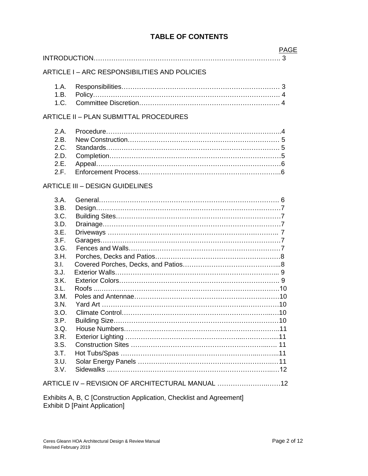# **TABLE OF CONTENTS**

|       | <b>PAGE</b>                                   |
|-------|-----------------------------------------------|
|       | $\mathbf{.}3$                                 |
|       | ARTICLE I - ARC RESPONSIBILITIES AND POLICIES |
| 1.A.  |                                               |
| 1.B.  |                                               |
| 1.C.  |                                               |
|       | ARTICLE II - PLAN SUBMITTAL PROCEDURES        |
| 2.A.  |                                               |
| 2.B.  |                                               |
| 2.C.  |                                               |
| 2.D.  |                                               |
| 2.E.  |                                               |
| 2.F.  |                                               |
|       | <b>ARTICLE III - DESIGN GUIDELINES</b>        |
| 3.A.  |                                               |
| 3.B.  |                                               |
| 3.C.  |                                               |
| 3.D.  |                                               |
| 3.E.  |                                               |
| 3.F.  |                                               |
| 3.G.  |                                               |
| 3.H.  |                                               |
| 3.1.  |                                               |
| 3. J. |                                               |
| 3.K.  |                                               |
| 3.L.  |                                               |
| 3.M.  |                                               |
| 3.N.  |                                               |
| 3.0.  |                                               |
| 3.P.  |                                               |
| 3.Q.  |                                               |
| 3.R.  |                                               |

3.S. Construction Sites ……………………………………………………...…. 11 3.T. Hot Tubs/Spas ……………………………………………………...….…...11 3.U. Solar Energy Panels …………………………………………………….…11 3.V. Sidewalks ..………………………………………………………………..…12

ARTICLE IV – REVISION OF ARCHITECTURAL MANUAL …………………..……12

Exhibits A, B, C [Construction Application, Checklist and Agreement] Exhibit D [Paint Application]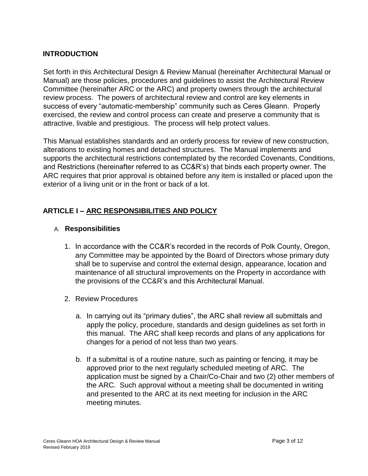## **INTRODUCTION**

Set forth in this Architectural Design & Review Manual (hereinafter Architectural Manual or Manual) are those policies, procedures and guidelines to assist the Architectural Review Committee (hereinafter ARC or the ARC) and property owners through the architectural review process. The powers of architectural review and control are key elements in success of every "automatic-membership" community such as Ceres Gleann. Properly exercised, the review and control process can create and preserve a community that is attractive, livable and prestigious. The process will help protect values.

This Manual establishes standards and an orderly process for review of new construction, alterations to existing homes and detached structures. The Manual implements and supports the architectural restrictions contemplated by the recorded Covenants, Conditions, and Restrictions (hereinafter referred to as CC&R's) that binds each property owner. The ARC requires that prior approval is obtained before any item is installed or placed upon the exterior of a living unit or in the front or back of a lot.

# **ARTICLE I – ARC RESPONSIBILITIES AND POLICY**

#### A. **Responsibilities**

- 1. In accordance with the CC&R's recorded in the records of Polk County, Oregon, any Committee may be appointed by the Board of Directors whose primary duty shall be to supervise and control the external design, appearance, location and maintenance of all structural improvements on the Property in accordance with the provisions of the CC&R's and this Architectural Manual.
- 2. Review Procedures
	- a. In carrying out its "primary duties", the ARC shall review all submittals and apply the policy, procedure, standards and design guidelines as set forth in this manual. The ARC shall keep records and plans of any applications for changes for a period of not less than two years.
	- b. If a submittal is of a routine nature, such as painting or fencing, it may be approved prior to the next regularly scheduled meeting of ARC. The application must be signed by a Chair/Co-Chair and two (2) other members of the ARC. Such approval without a meeting shall be documented in writing and presented to the ARC at its next meeting for inclusion in the ARC meeting minutes.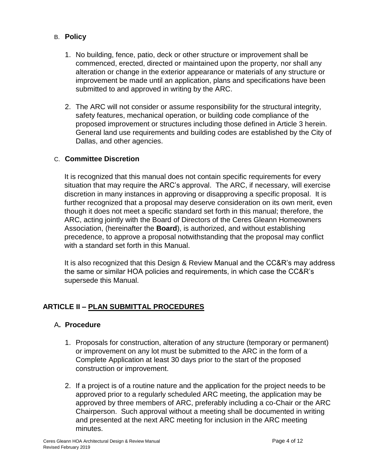# B. **Policy**

- 1. No building, fence, patio, deck or other structure or improvement shall be commenced, erected, directed or maintained upon the property, nor shall any alteration or change in the exterior appearance or materials of any structure or improvement be made until an application, plans and specifications have been submitted to and approved in writing by the ARC.
- 2. The ARC will not consider or assume responsibility for the structural integrity, safety features, mechanical operation, or building code compliance of the proposed improvement or structures including those defined in Article 3 herein. General land use requirements and building codes are established by the City of Dallas, and other agencies.

#### C. **Committee Discretion**

It is recognized that this manual does not contain specific requirements for every situation that may require the ARC's approval. The ARC, if necessary, will exercise discretion in many instances in approving or disapproving a specific proposal. It is further recognized that a proposal may deserve consideration on its own merit, even though it does not meet a specific standard set forth in this manual; therefore, the ARC, acting jointly with the Board of Directors of the Ceres Gleann Homeowners Association, (hereinafter the **Board**), is authorized, and without establishing precedence, to approve a proposal notwithstanding that the proposal may conflict with a standard set forth in this Manual.

It is also recognized that this Design & Review Manual and the CC&R's may address the same or similar HOA policies and requirements, in which case the CC&R's supersede this Manual.

# **ARTICLE II – PLAN SUBMITTAL PROCEDURES**

#### A**. Procedure**

- 1. Proposals for construction, alteration of any structure (temporary or permanent) or improvement on any lot must be submitted to the ARC in the form of a Complete Application at least 30 days prior to the start of the proposed construction or improvement.
- 2. If a project is of a routine nature and the application for the project needs to be approved prior to a regularly scheduled ARC meeting, the application may be approved by three members of ARC, preferably including a co-Chair or the ARC Chairperson. Such approval without a meeting shall be documented in writing and presented at the next ARC meeting for inclusion in the ARC meeting minutes.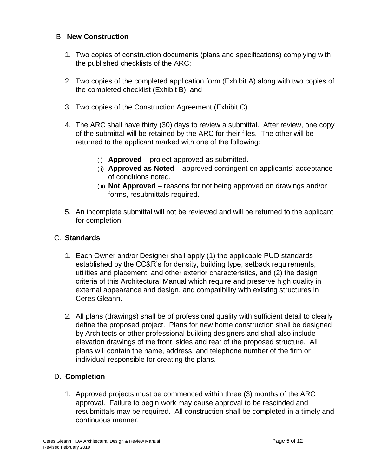### B. **New Construction**

- 1. Two copies of construction documents (plans and specifications) complying with the published checklists of the ARC;
- 2. Two copies of the completed application form (Exhibit A) along with two copies of the completed checklist (Exhibit B); and
- 3. Two copies of the Construction Agreement (Exhibit C).
- 4. The ARC shall have thirty (30) days to review a submittal. After review, one copy of the submittal will be retained by the ARC for their files. The other will be returned to the applicant marked with one of the following:
	- (i) **Approved** project approved as submitted.
	- (ii) **Approved as Noted** approved contingent on applicants' acceptance of conditions noted.
	- (iii) **Not Approved** reasons for not being approved on drawings and/or forms, resubmittals required.
- 5. An incomplete submittal will not be reviewed and will be returned to the applicant for completion.

# C. **Standards**

- 1. Each Owner and/or Designer shall apply (1) the applicable PUD standards established by the CC&R's for density, building type, setback requirements, utilities and placement, and other exterior characteristics, and (2) the design criteria of this Architectural Manual which require and preserve high quality in external appearance and design, and compatibility with existing structures in Ceres Gleann.
- 2. All plans (drawings) shall be of professional quality with sufficient detail to clearly define the proposed project. Plans for new home construction shall be designed by Architects or other professional building designers and shall also include elevation drawings of the front, sides and rear of the proposed structure. All plans will contain the name, address, and telephone number of the firm or individual responsible for creating the plans.

# D. **Completion**

1. Approved projects must be commenced within three (3) months of the ARC approval. Failure to begin work may cause approval to be rescinded and resubmittals may be required. All construction shall be completed in a timely and continuous manner.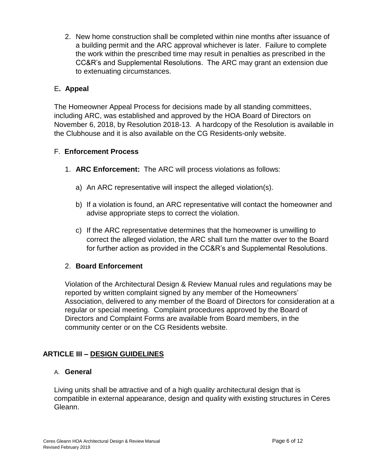2. New home construction shall be completed within nine months after issuance of a building permit and the ARC approval whichever is later. Failure to complete the work within the prescribed time may result in penalties as prescribed in the CC&R's and Supplemental Resolutions. The ARC may grant an extension due to extenuating circumstances.

# E**. Appeal**

The Homeowner Appeal Process for decisions made by all standing committees, including ARC, was established and approved by the HOA Board of Directors on November 6, 2018, by Resolution 2018-13. A hardcopy of the Resolution is available in the Clubhouse and it is also available on the CG Residents-only website.

# F. **Enforcement Process**

- 1. **ARC Enforcement:** The ARC will process violations as follows:
	- a) An ARC representative will inspect the alleged violation(s).
	- b) If a violation is found, an ARC representative will contact the homeowner and advise appropriate steps to correct the violation.
	- c) If the ARC representative determines that the homeowner is unwilling to correct the alleged violation, the ARC shall turn the matter over to the Board for further action as provided in the CC&R's and Supplemental Resolutions.

# 2. **Board Enforcement**

Violation of the Architectural Design & Review Manual rules and regulations may be reported by written complaint signed by any member of the Homeowners' Association, delivered to any member of the Board of Directors for consideration at a regular or special meeting. Complaint procedures approved by the Board of Directors and Complaint Forms are available from Board members, in the community center or on the CG Residents website.

# **ARTICLE III – DESIGN GUIDELINES**

#### A. **General**

Living units shall be attractive and of a high quality architectural design that is compatible in external appearance, design and quality with existing structures in Ceres Gleann.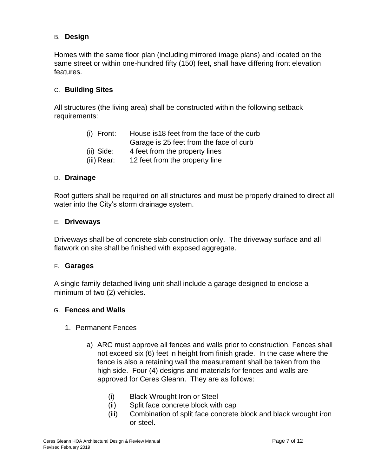## B. **Design**

Homes with the same floor plan (including mirrored image plans) and located on the same street or within one-hundred fifty (150) feet, shall have differing front elevation features.

#### C. **Building Sites**

All structures (the living area) shall be constructed within the following setback requirements:

| (i) Front:  | House is 18 feet from the face of the curb |
|-------------|--------------------------------------------|
|             | Garage is 25 feet from the face of curb    |
| (ii) Side:  | 4 feet from the property lines             |
| (iii) Rear: | 12 feet from the property line             |

#### D. **Drainage**

Roof gutters shall be required on all structures and must be properly drained to direct all water into the City's storm drainage system.

#### E. **Driveways**

Driveways shall be of concrete slab construction only. The driveway surface and all flatwork on site shall be finished with exposed aggregate.

#### F. **Garages**

A single family detached living unit shall include a garage designed to enclose a minimum of two (2) vehicles.

#### G. **Fences and Walls**

- 1. Permanent Fences
	- a) ARC must approve all fences and walls prior to construction. Fences shall not exceed six (6) feet in height from finish grade. In the case where the fence is also a retaining wall the measurement shall be taken from the high side. Four (4) designs and materials for fences and walls are approved for Ceres Gleann. They are as follows:
		- (i) Black Wrought Iron or Steel
		- (ii) Split face concrete block with cap
		- (iii) Combination of split face concrete block and black wrought iron or steel.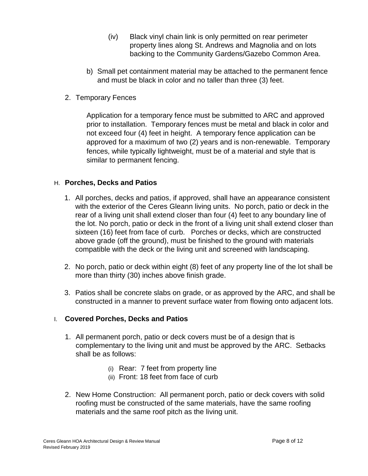- (iv) Black vinyl chain link is only permitted on rear perimeter property lines along St. Andrews and Magnolia and on lots backing to the Community Gardens/Gazebo Common Area.
- b) Small pet containment material may be attached to the permanent fence and must be black in color and no taller than three (3) feet.
- 2. Temporary Fences

Application for a temporary fence must be submitted to ARC and approved prior to installation. Temporary fences must be metal and black in color and not exceed four (4) feet in height. A temporary fence application can be approved for a maximum of two (2) years and is non-renewable. Temporary fences, while typically lightweight, must be of a material and style that is similar to permanent fencing.

#### H. **Porches, Decks and Patios**

- 1. All porches, decks and patios, if approved, shall have an appearance consistent with the exterior of the Ceres Gleann living units. No porch, patio or deck in the rear of a living unit shall extend closer than four (4) feet to any boundary line of the lot. No porch, patio or deck in the front of a living unit shall extend closer than sixteen (16) feet from face of curb. Porches or decks, which are constructed above grade (off the ground), must be finished to the ground with materials compatible with the deck or the living unit and screened with landscaping.
- 2. No porch, patio or deck within eight (8) feet of any property line of the lot shall be more than thirty (30) inches above finish grade.
- 3. Patios shall be concrete slabs on grade, or as approved by the ARC, and shall be constructed in a manner to prevent surface water from flowing onto adjacent lots.

#### I. **Covered Porches, Decks and Patios**

- 1. All permanent porch, patio or deck covers must be of a design that is complementary to the living unit and must be approved by the ARC. Setbacks shall be as follows:
	- (i) Rear: 7 feet from property line
	- (ii) Front: 18 feet from face of curb
- 2. New Home Construction: All permanent porch, patio or deck covers with solid roofing must be constructed of the same materials, have the same roofing materials and the same roof pitch as the living unit.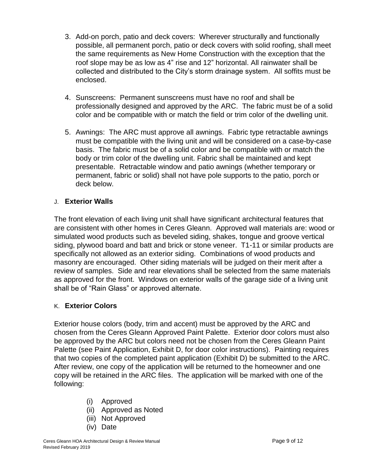- 3. Add-on porch, patio and deck covers: Wherever structurally and functionally possible, all permanent porch, patio or deck covers with solid roofing, shall meet the same requirements as New Home Construction with the exception that the roof slope may be as low as 4" rise and 12" horizontal. All rainwater shall be collected and distributed to the City's storm drainage system. All soffits must be enclosed.
- 4. Sunscreens: Permanent sunscreens must have no roof and shall be professionally designed and approved by the ARC. The fabric must be of a solid color and be compatible with or match the field or trim color of the dwelling unit.
- 5. Awnings: The ARC must approve all awnings. Fabric type retractable awnings must be compatible with the living unit and will be considered on a case-by-case basis. The fabric must be of a solid color and be compatible with or match the body or trim color of the dwelling unit. Fabric shall be maintained and kept presentable. Retractable window and patio awnings (whether temporary or permanent, fabric or solid) shall not have pole supports to the patio, porch or deck below.

# J. **Exterior Walls**

The front elevation of each living unit shall have significant architectural features that are consistent with other homes in Ceres Gleann. Approved wall materials are: wood or simulated wood products such as beveled siding, shakes, tongue and groove vertical siding, plywood board and batt and brick or stone veneer. T1-11 or similar products are specifically not allowed as an exterior siding. Combinations of wood products and masonry are encouraged. Other siding materials will be judged on their merit after a review of samples. Side and rear elevations shall be selected from the same materials as approved for the front. Windows on exterior walls of the garage side of a living unit shall be of "Rain Glass" or approved alternate.

# K. **Exterior Colors**

Exterior house colors (body, trim and accent) must be approved by the ARC and chosen from the Ceres Gleann Approved Paint Palette. Exterior door colors must also be approved by the ARC but colors need not be chosen from the Ceres Gleann Paint Palette (see Paint Application, Exhibit D, for door color instructions). Painting requires that two copies of the completed paint application (Exhibit D) be submitted to the ARC. After review, one copy of the application will be returned to the homeowner and one copy will be retained in the ARC files. The application will be marked with one of the following:

- (i) Approved
- (ii) Approved as Noted
- (iii) Not Approved
- (iv) Date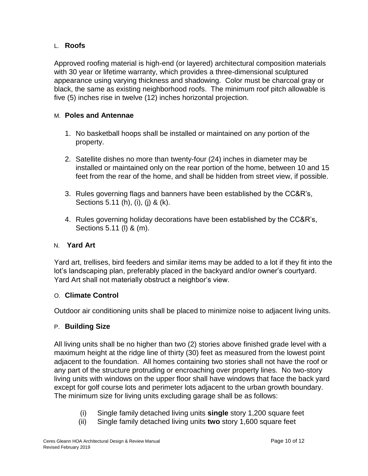# L. **Roofs**

Approved roofing material is high-end (or layered) architectural composition materials with 30 year or lifetime warranty, which provides a three-dimensional sculptured appearance using varying thickness and shadowing. Color must be charcoal gray or black, the same as existing neighborhood roofs. The minimum roof pitch allowable is five (5) inches rise in twelve (12) inches horizontal projection.

# M. **Poles and Antennae**

- 1. No basketball hoops shall be installed or maintained on any portion of the property.
- 2. Satellite dishes no more than twenty-four (24) inches in diameter may be installed or maintained only on the rear portion of the home, between 10 and 15 feet from the rear of the home, and shall be hidden from street view, if possible.
- 3. Rules governing flags and banners have been established by the CC&R's, Sections 5.11 (h), (i), (j) & (k).
- 4. Rules governing holiday decorations have been established by the CC&R's, Sections 5.11 (l) & (m).

# N. **Yard Art**

Yard art, trellises, bird feeders and similar items may be added to a lot if they fit into the lot's landscaping plan, preferably placed in the backyard and/or owner's courtyard. Yard Art shall not materially obstruct a neighbor's view.

# O. **Climate Control**

Outdoor air conditioning units shall be placed to minimize noise to adjacent living units.

# P. **Building Size**

All living units shall be no higher than two (2) stories above finished grade level with a maximum height at the ridge line of thirty (30) feet as measured from the lowest point adjacent to the foundation. All homes containing two stories shall not have the roof or any part of the structure protruding or encroaching over property lines. No two-story living units with windows on the upper floor shall have windows that face the back yard except for golf course lots and perimeter lots adjacent to the urban growth boundary. The minimum size for living units excluding garage shall be as follows:

- (i) Single family detached living units **single** story 1,200 square feet
- (ii) Single family detached living units **two** story 1,600 square feet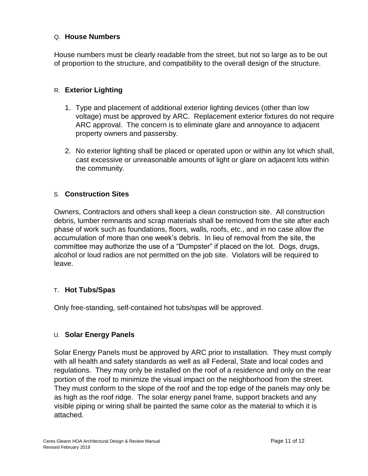#### Q. **House Numbers**

House numbers must be clearly readable from the street, but not so large as to be out of proportion to the structure, and compatibility to the overall design of the structure.

## R. **Exterior Lighting**

- 1. Type and placement of additional exterior lighting devices (other than low voltage) must be approved by ARC. Replacement exterior fixtures do not require ARC approval. The concern is to eliminate glare and annoyance to adjacent property owners and passersby.
- 2. No exterior lighting shall be placed or operated upon or within any lot which shall, cast excessive or unreasonable amounts of light or glare on adjacent lots within the community.

#### S. **Construction Sites**

Owners, Contractors and others shall keep a clean construction site. All construction debris, lumber remnants and scrap materials shall be removed from the site after each phase of work such as foundations, floors, walls, roofs, etc., and in no case allow the accumulation of more than one week's debris. In lieu of removal from the site, the committee may authorize the use of a "Dumpster" if placed on the lot. Dogs, drugs, alcohol or loud radios are not permitted on the job site. Violators will be required to leave.

#### T. **Hot Tubs/Spas**

Only free-standing, self-contained hot tubs/spas will be approved.

# U. **Solar Energy Panels**

Solar Energy Panels must be approved by ARC prior to installation. They must comply with all health and safety standards as well as all Federal, State and local codes and regulations. They may only be installed on the roof of a residence and only on the rear portion of the roof to minimize the visual impact on the neighborhood from the street. They must conform to the slope of the roof and the top edge of the panels may only be as high as the roof ridge. The solar energy panel frame, support brackets and any visible piping or wiring shall be painted the same color as the material to which it is attached.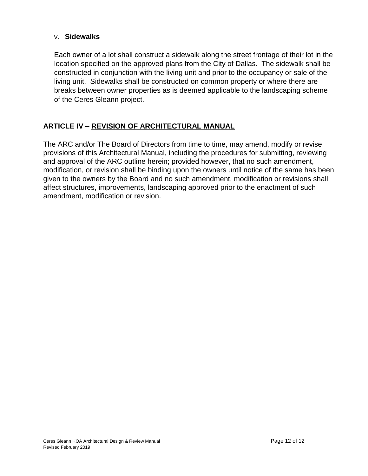#### V. **Sidewalks**

Each owner of a lot shall construct a sidewalk along the street frontage of their lot in the location specified on the approved plans from the City of Dallas. The sidewalk shall be constructed in conjunction with the living unit and prior to the occupancy or sale of the living unit. Sidewalks shall be constructed on common property or where there are breaks between owner properties as is deemed applicable to the landscaping scheme of the Ceres Gleann project.

# **ARTICLE IV – REVISION OF ARCHITECTURAL MANUAL**

The ARC and/or The Board of Directors from time to time, may amend, modify or revise provisions of this Architectural Manual, including the procedures for submitting, reviewing and approval of the ARC outline herein; provided however, that no such amendment, modification, or revision shall be binding upon the owners until notice of the same has been given to the owners by the Board and no such amendment, modification or revisions shall affect structures, improvements, landscaping approved prior to the enactment of such amendment, modification or revision.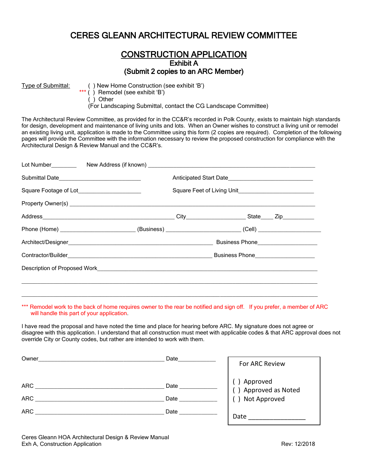# CERES GLEANN ARCHITECTURAL REVIEW COMMITTEE

#### **CONSTRUCTION APPLICATION** Exhibit A (Submit 2 copies to an ARC Member)

Type of Submittal: ( ) New Home Construction (see exhibit 'B')

 $***$  ( ) Remodel (see exhibit 'B')

( ) Other

(For Landscaping Submittal, contact the CG Landscape Committee)

The Architectural Review Committee, as provided for in the CC&R's recorded in Polk County, exists to maintain high standards for design, development and maintenance of living units and lots. When an Owner wishes to construct a living unit or remodel an existing living unit, application is made to the Committee using this form (2 copies are required). Completion of the following pages will provide the Committee with the information necessary to review the proposed construction for compliance with the Architectural Design & Review Manual and the CC&R's.

|                                               |                                                                                                                                                                                                                                      | Anticipated Start Date |  |                                        |
|-----------------------------------------------|--------------------------------------------------------------------------------------------------------------------------------------------------------------------------------------------------------------------------------------|------------------------|--|----------------------------------------|
| Square Footage of Lot________________________ |                                                                                                                                                                                                                                      |                        |  |                                        |
|                                               | Property Owner(s) New York Changes and Changes and Changes and Changes and Changes and Changes and Changes and Changes and Changes and Changes and Changes and Changes and Changes and Changes and Changes and Changes and Cha       |                        |  |                                        |
|                                               |                                                                                                                                                                                                                                      |                        |  |                                        |
|                                               | Phone (Home) ___________________________(Business) _______________________(Cell) __________________                                                                                                                                  |                        |  |                                        |
|                                               |                                                                                                                                                                                                                                      |                        |  | Business Phone________________________ |
|                                               |                                                                                                                                                                                                                                      |                        |  |                                        |
|                                               | Description of Proposed Work <b>Contract Contract Contract Contract Contract Contract Contract Contract Contract Contract Contract Contract Contract Contract Contract Contract Contract Contract Contract Contract Contract Con</b> |                        |  |                                        |
|                                               |                                                                                                                                                                                                                                      |                        |  |                                        |
|                                               |                                                                                                                                                                                                                                      |                        |  |                                        |

\*\*\* Remodel work to the back of home requires owner to the rear be notified and sign off. If you prefer, a member of ARC will handle this part of your application.

 $\_$  ,  $\_$  ,  $\_$  ,  $\_$  ,  $\_$  ,  $\_$  ,  $\_$  ,  $\_$  ,  $\_$  ,  $\_$  ,  $\_$  ,  $\_$  ,  $\_$  ,  $\_$  ,  $\_$  ,  $\_$  ,  $\_$  ,  $\_$  ,  $\_$  ,  $\_$  ,  $\_$  ,  $\_$  ,  $\_$  ,  $\_$  ,  $\_$  ,  $\_$  ,  $\_$  ,  $\_$  ,  $\_$  ,  $\_$  ,  $\_$  ,  $\_$  ,  $\_$  ,  $\_$  ,  $\_$  ,  $\_$  ,  $\_$  ,

I have read the proposal and have noted the time and place for hearing before ARC. My signature does not agree or disagree with this application. I understand that all construction must meet with applicable codes & that ARC approval does not override City or County codes, but rather are intended to work with them.

| Owner             | Date         | For ARC Review                                         |
|-------------------|--------------|--------------------------------------------------------|
| ARC<br><b>ARC</b> | Date         | () Approved<br>() Approved as Noted<br>() Not Approved |
| <b>ARC</b>        | Date<br>Date |                                                        |
|                   |              | Date                                                   |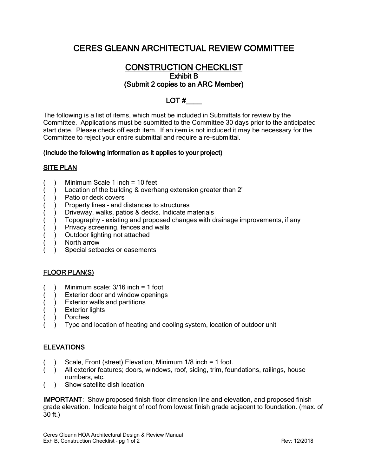# CERES GLEANN ARCHITECTUAL REVIEW COMMITTEE

# CONSTRUCTION CHECKLIST Exhibit B (Submit 2 copies to an ARC Member)

# $LOT#$

The following is a list of items, which must be included in Submittals for review by the Committee. Applications must be submitted to the Committee 30 days prior to the anticipated start date. Please check off each item. If an item is not included it may be necessary for the Committee to reject your entire submittal and require a re-submittal.

#### (Include the following information as it applies to your project)

#### SITE PLAN

- Minimum Scale 1 inch  $= 10$  feet
- Location of the building & overhang extension greater than 2'
- ( ) Patio or deck covers
- Property lines and distances to structures
- Driveway, walks, patios & decks. Indicate materials
- Topography existing and proposed changes with drainage improvements, if any
- Privacy screening, fences and walls
- ) Outdoor lighting not attached
- North arrow
- Special setbacks or easements

#### FLOOR PLAN(S)

- ( ) Minimum scale:  $3/16$  inch = 1 foot
- ( ) Exterior door and window openings
- ) Exterior walls and partitions
- ) Exterior lights
- ( ) Porches
- Type and location of heating and cooling system, location of outdoor unit

#### **ELEVATIONS**

- Scale, Front (street) Elevation, Minimum 1/8 inch = 1 foot.
- ( ) All exterior features; doors, windows, roof, siding, trim, foundations, railings, house numbers, etc.
- ( ) Show satellite dish location

IMPORTANT: Show proposed finish floor dimension line and elevation, and proposed finish grade elevation. Indicate height of roof from lowest finish grade adjacent to foundation. (max. of 30 ft.)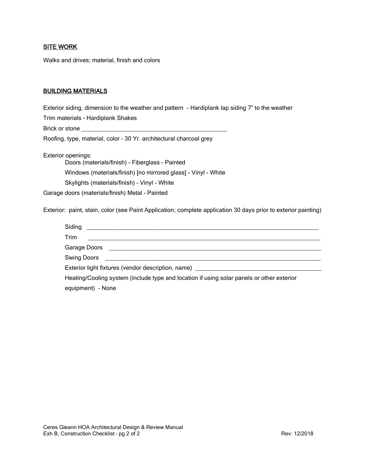#### SITE WORK

Walks and drives; material, finish and colors

#### BUILDING MATERIALS

Exterior siding, dimension to the weather and pattern - Hardiplank lap siding 7" to the weather

Trim materials - Hardiplank Shakes

Brick or stone

Roofing, type, material, color – 30 Yr. architectural charcoal grey

Exterior openings:

Doors (materials/finish) - Fiberglass - Painted Windows (materials/finish) [no mirrored glass] - Vinyl - White Skylights (materials/finish) - Vinyl - White

Garage doors (materials/finish) Metal - Painted

Exterior: paint, stain, color (see Paint Application; complete application 30 days prior to exterior painting)

| Siding                                                                                    |  |  |
|-------------------------------------------------------------------------------------------|--|--|
| Trim                                                                                      |  |  |
|                                                                                           |  |  |
| Swing Doors                                                                               |  |  |
| Exterior light fixtures (vendor description, name)                                        |  |  |
| Heating/Cooling system (include type and location if using solar panels or other exterior |  |  |
| equipment) - None                                                                         |  |  |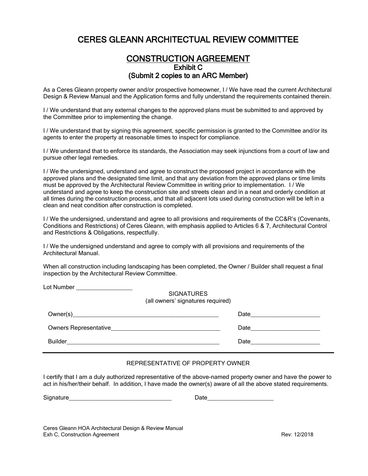# CERES GLEANN ARCHITECTUAL REVIEW COMMITTEE

### CONSTRUCTION AGREEMENT Exhibit C (Submit 2 copies to an ARC Member)

As a Ceres Gleann property owner and/or prospective homeowner, I / We have read the current Architectural Design & Review Manual and the Application forms and fully understand the requirements contained therein.

I / We understand that any external changes to the approved plans must be submitted to and approved by the Committee prior to implementing the change.

I / We understand that by signing this agreement, specific permission is granted to the Committee and/or its agents to enter the property at reasonable times to inspect for compliance.

I / We understand that to enforce its standards, the Association may seek injunctions from a court of law and pursue other legal remedies.

I / We the undersigned, understand and agree to construct the proposed project in accordance with the approved plans and the designated time limit, and that any deviation from the approved plans or time limits must be approved by the Architectural Review Committee in writing prior to implementation. I / We understand and agree to keep the construction site and streets clean and in a neat and orderly condition at all times during the construction process, and that all adjacent lots used during construction will be left in a clean and neat condition after construction is completed.

I / We the undersigned, understand and agree to all provisions and requirements of the CC&R's (Covenants, Conditions and Restrictions) of Ceres Gleann, with emphasis applied to Articles 6 & 7, Architectural Control and Restrictions & Obligations, respectfully.

I / We the undersigned understand and agree to comply with all provisions and requirements of the Architectural Manual.

When all construction including landscaping has been completed, the Owner / Builder shall request a final inspection by the Architectural Review Committee.

|                                                                                                                                                                                                                                | <b>SIGNATURES</b><br>(all owners' signatures required) |      |
|--------------------------------------------------------------------------------------------------------------------------------------------------------------------------------------------------------------------------------|--------------------------------------------------------|------|
| Owner(s) and the contract of the contract of the contract of the contract of the contract of the contract of the contract of the contract of the contract of the contract of the contract of the contract of the contract of t |                                                        | Date |
| Owners Representative <b>Example 2018</b>                                                                                                                                                                                      |                                                        | Date |
| <b>Builder</b>                                                                                                                                                                                                                 |                                                        | Date |

#### REPRESENTATIVE OF PROPERTY OWNER

I certify that I am a duly authorized representative of the above-named property owner and have the power to act in his/her/their behalf. In addition, I have made the owner(s) aware of all the above stated requirements.

Signature **Example 20** and  $\overline{a}$  Date

Lot Number

Ceres Gleann HOA Architectural Design & Review Manual Exh C, Construction Agreement The C and The C and The C and The C and The C and The Rev: 12/2018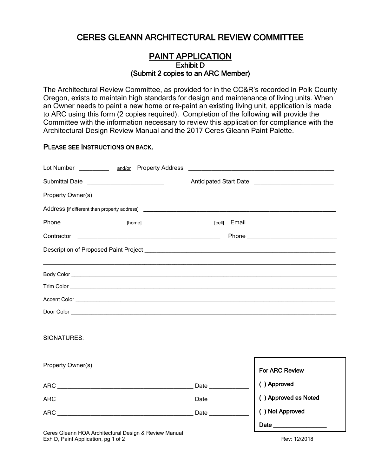# CERES GLEANN ARCHITECTURAL REVIEW COMMITTEE

#### PAINT APPLICATION Exhibit D (Submit 2 copies to an ARC Member)

The Architectural Review Committee, as provided for in the CC&R's recorded in Polk County Oregon, exists to maintain high standards for design and maintenance of living units. When an Owner needs to paint a new home or re-paint an existing living unit, application is made to ARC using this form (2 copies required). Completion of the following will provide the Committee with the information necessary to review this application for compliance with the Architectural Design Review Manual and the 2017 Ceres Gleann Paint Palette.

#### PLEASE SEE INSTRUCTIONS ON BACK.

|             |  | Description of Proposed Paint Project [1988] [2010] [2010] [2010] [2010] [2010] [2010] [2010] [2010] [2010] [2010] [ |
|-------------|--|----------------------------------------------------------------------------------------------------------------------|
|             |  |                                                                                                                      |
|             |  |                                                                                                                      |
|             |  |                                                                                                                      |
|             |  |                                                                                                                      |
| SIGNATURES: |  |                                                                                                                      |
|             |  | <b>For ARC Review</b>                                                                                                |
|             |  | () Approved                                                                                                          |
|             |  | () Approved as Noted                                                                                                 |
|             |  | () Not Approved                                                                                                      |
|             |  |                                                                                                                      |

Ceres Gleann HOA Architectural Design & Review Manual Exh D, Paint Application, pg 1 of 2 Rev: 12/2018